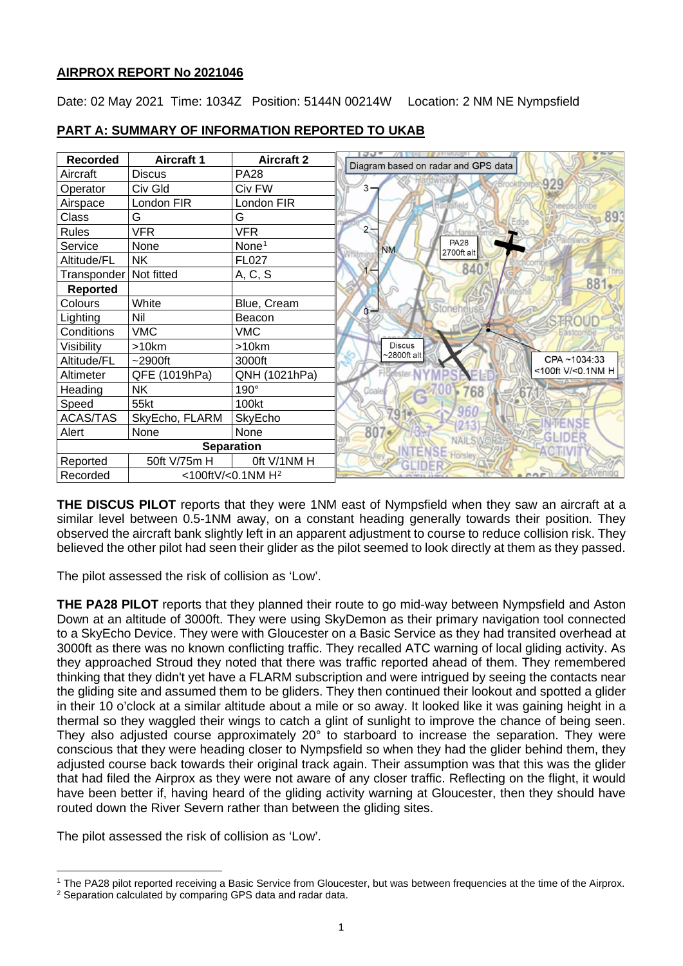## **AIRPROX REPORT No 2021046**

Date: 02 May 2021 Time: 1034Z Position: 5144N 00214W Location: 2 NM NE Nympsfield

| <b>Recorded</b>          | <b>Aircraft 1</b> | <b>Aircraft 2</b>             | Diagram based on radar and GPS data |  |
|--------------------------|-------------------|-------------------------------|-------------------------------------|--|
| Aircraft                 | <b>Discus</b>     | <b>PA28</b>                   |                                     |  |
| Operator                 | Civ Gld           | Civ FW                        | 3                                   |  |
| Airspace                 | London FIR        | London FIR                    |                                     |  |
| Class                    | G                 | G                             |                                     |  |
| <b>Rules</b>             | <b>VFR</b>        | <b>VFR</b>                    |                                     |  |
| Service                  | None              | None <sup>1</sup>             | <b>NM</b>                           |  |
| Altitude/FL              | <b>NK</b>         | <b>FL027</b>                  |                                     |  |
| Transponder   Not fitted |                   | A, C, S                       |                                     |  |
| <b>Reported</b>          |                   |                               |                                     |  |
| Colours                  | White             | Blue, Cream                   | 0 <sup>24</sup>                     |  |
| Lighting                 | Nil               | Beacon                        |                                     |  |
| Conditions               | <b>VMC</b>        | <b>VMC</b>                    |                                     |  |
| Visibility               | >10km             | >10km                         | <b>Discus</b>                       |  |
| Altitude/FL              | $~2900$ ft        | 3000ft                        | $\sim$ 2800ft alt                   |  |
| Altimeter                | QFE (1019hPa)     | QNH (1021hPa)                 |                                     |  |
| Heading                  | <b>NK</b>         | $190^\circ$                   | Coaled                              |  |
| Speed                    | 55kt              | 100kt                         |                                     |  |
| <b>ACAS/TAS</b>          | SkyEcho, FLARM    | SkyEcho                       |                                     |  |
| Alert                    | None              | None                          | 807.                                |  |
| <b>Separation</b>        |                   |                               |                                     |  |
| Reported                 | 50ft V/75m H      | Oft V/1NM H                   |                                     |  |
| Recorded                 |                   | <100ftV/<0.1NM H <sup>2</sup> |                                     |  |

# **PART A: SUMMARY OF INFORMATION REPORTED TO UKAB**

**THE DISCUS PILOT** reports that they were 1NM east of Nympsfield when they saw an aircraft at a similar level between 0.5-1NM away, on a constant heading generally towards their position. They observed the aircraft bank slightly left in an apparent adjustment to course to reduce collision risk. They believed the other pilot had seen their glider as the pilot seemed to look directly at them as they passed.

The pilot assessed the risk of collision as 'Low'.

**THE PA28 PILOT** reports that they planned their route to go mid-way between Nympsfield and Aston Down at an altitude of 3000ft. They were using SkyDemon as their primary navigation tool connected to a SkyEcho Device. They were with Gloucester on a Basic Service as they had transited overhead at 3000ft as there was no known conflicting traffic. They recalled ATC warning of local gliding activity. As they approached Stroud they noted that there was traffic reported ahead of them. They remembered thinking that they didn't yet have a FLARM subscription and were intrigued by seeing the contacts near the gliding site and assumed them to be gliders. They then continued their lookout and spotted a glider in their 10 o'clock at a similar altitude about a mile or so away. It looked like it was gaining height in a thermal so they waggled their wings to catch a glint of sunlight to improve the chance of being seen. They also adjusted course approximately 20° to starboard to increase the separation. They were conscious that they were heading closer to Nympsfield so when they had the glider behind them, they adjusted course back towards their original track again. Their assumption was that this was the glider that had filed the Airprox as they were not aware of any closer traffic. Reflecting on the flight, it would have been better if, having heard of the gliding activity warning at Gloucester, then they should have routed down the River Severn rather than between the gliding sites.

The pilot assessed the risk of collision as 'Low'.

<span id="page-0-0"></span><sup>1</sup> The PA28 pilot reported receiving a Basic Service from Gloucester, but was between frequencies at the time of the Airprox.

<span id="page-0-1"></span><sup>&</sup>lt;sup>2</sup> Separation calculated by comparing GPS data and radar data.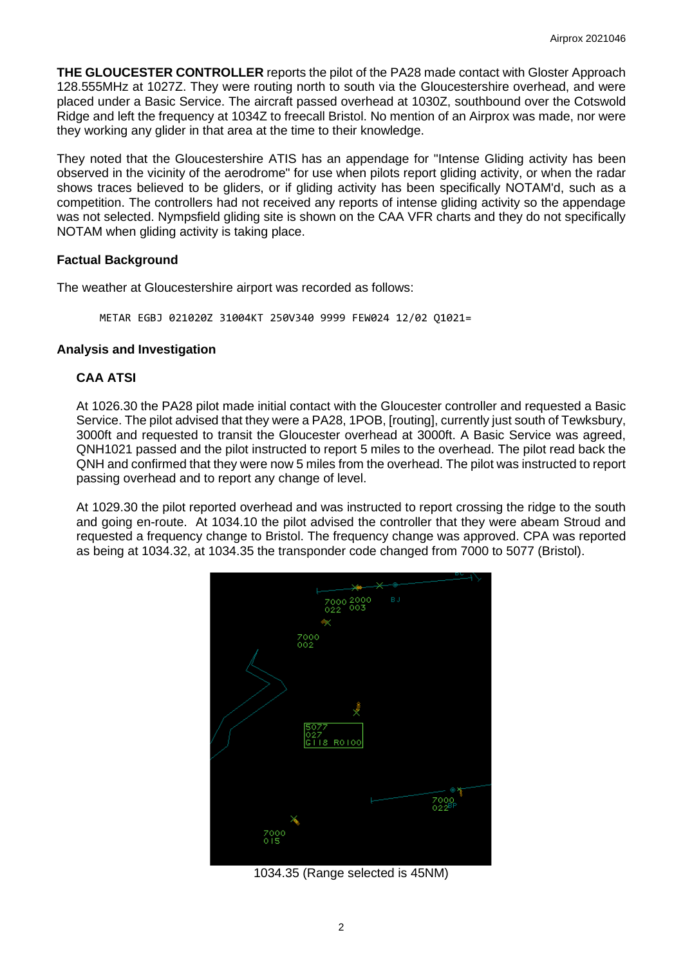**THE GLOUCESTER CONTROLLER** reports the pilot of the PA28 made contact with Gloster Approach 128.555MHz at 1027Z. They were routing north to south via the Gloucestershire overhead, and were placed under a Basic Service. The aircraft passed overhead at 1030Z, southbound over the Cotswold Ridge and left the frequency at 1034Z to freecall Bristol. No mention of an Airprox was made, nor were they working any glider in that area at the time to their knowledge.

They noted that the Gloucestershire ATIS has an appendage for "Intense Gliding activity has been observed in the vicinity of the aerodrome" for use when pilots report gliding activity, or when the radar shows traces believed to be gliders, or if gliding activity has been specifically NOTAM'd, such as a competition. The controllers had not received any reports of intense gliding activity so the appendage was not selected. Nympsfield gliding site is shown on the CAA VFR charts and they do not specifically NOTAM when gliding activity is taking place.

## **Factual Background**

The weather at Gloucestershire airport was recorded as follows:

METAR EGBJ 021020Z 31004KT 250V340 9999 FEW024 12/02 Q1021=

# **Analysis and Investigation**

# **CAA ATSI**

At 1026.30 the PA28 pilot made initial contact with the Gloucester controller and requested a Basic Service. The pilot advised that they were a PA28, 1POB, [routing], currently just south of Tewksbury, 3000ft and requested to transit the Gloucester overhead at 3000ft. A Basic Service was agreed, QNH1021 passed and the pilot instructed to report 5 miles to the overhead. The pilot read back the QNH and confirmed that they were now 5 miles from the overhead. The pilot was instructed to report passing overhead and to report any change of level.

At 1029.30 the pilot reported overhead and was instructed to report crossing the ridge to the south and going en-route. At 1034.10 the pilot advised the controller that they were abeam Stroud and requested a frequency change to Bristol. The frequency change was approved. CPA was reported as being at 1034.32, at 1034.35 the transponder code changed from 7000 to 5077 (Bristol).



1034.35 (Range selected is 45NM)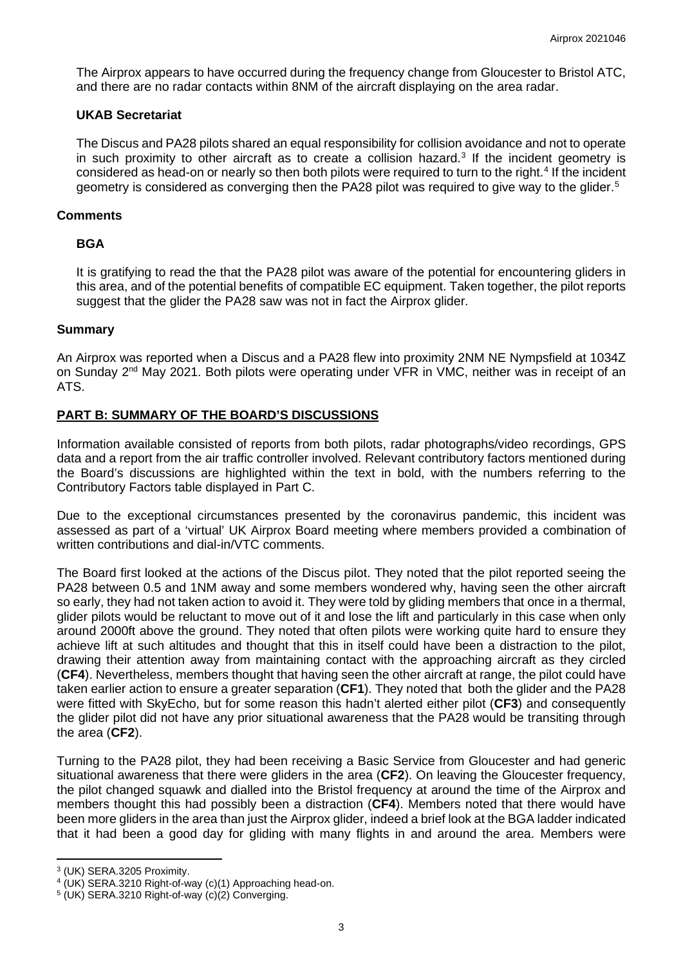The Airprox appears to have occurred during the frequency change from Gloucester to Bristol ATC, and there are no radar contacts within 8NM of the aircraft displaying on the area radar.

#### **UKAB Secretariat**

The Discus and PA28 pilots shared an equal responsibility for collision avoidance and not to operate in such proximity to other aircraft as to create a collision hazard.<sup>[3](#page-2-0)</sup> If the incident geometry is considered as head-on or nearly so then both pilots were required to turn to the right. [4](#page-2-1) If the incident geometry is considered as converging then the PA28 pilot was required to give way to the glider. [5](#page-2-2)

## **Comments**

## **BGA**

It is gratifying to read the that the PA28 pilot was aware of the potential for encountering gliders in this area, and of the potential benefits of compatible EC equipment. Taken together, the pilot reports suggest that the glider the PA28 saw was not in fact the Airprox glider.

## **Summary**

An Airprox was reported when a Discus and a PA28 flew into proximity 2NM NE Nympsfield at 1034Z on Sunday 2<sup>nd</sup> May 2021. Both pilots were operating under VFR in VMC, neither was in receipt of an ATS.

## **PART B: SUMMARY OF THE BOARD'S DISCUSSIONS**

Information available consisted of reports from both pilots, radar photographs/video recordings, GPS data and a report from the air traffic controller involved. Relevant contributory factors mentioned during the Board's discussions are highlighted within the text in bold, with the numbers referring to the Contributory Factors table displayed in Part C.

Due to the exceptional circumstances presented by the coronavirus pandemic, this incident was assessed as part of a 'virtual' UK Airprox Board meeting where members provided a combination of written contributions and dial-in/VTC comments.

The Board first looked at the actions of the Discus pilot. They noted that the pilot reported seeing the PA28 between 0.5 and 1NM away and some members wondered why, having seen the other aircraft so early, they had not taken action to avoid it. They were told by gliding members that once in a thermal, glider pilots would be reluctant to move out of it and lose the lift and particularly in this case when only around 2000ft above the ground. They noted that often pilots were working quite hard to ensure they achieve lift at such altitudes and thought that this in itself could have been a distraction to the pilot, drawing their attention away from maintaining contact with the approaching aircraft as they circled (**CF4**). Nevertheless, members thought that having seen the other aircraft at range, the pilot could have taken earlier action to ensure a greater separation (**CF1**). They noted that both the glider and the PA28 were fitted with SkyEcho, but for some reason this hadn't alerted either pilot (**CF3**) and consequently the glider pilot did not have any prior situational awareness that the PA28 would be transiting through the area (**CF2**).

Turning to the PA28 pilot, they had been receiving a Basic Service from Gloucester and had generic situational awareness that there were gliders in the area (**CF2**). On leaving the Gloucester frequency, the pilot changed squawk and dialled into the Bristol frequency at around the time of the Airprox and members thought this had possibly been a distraction (**CF4**). Members noted that there would have been more gliders in the area than just the Airprox glider, indeed a brief look at the BGA ladder indicated that it had been a good day for gliding with many flights in and around the area. Members were

<span id="page-2-0"></span><sup>3</sup> (UK) SERA.3205 Proximity.

<span id="page-2-1"></span><sup>&</sup>lt;sup>4</sup> (UK) SERA.3210 Right-of-way (c)(1) Approaching head-on.<br><sup>5</sup> (UK) SERA.3210 Right-of-way (c)(2) Converging.

<span id="page-2-2"></span>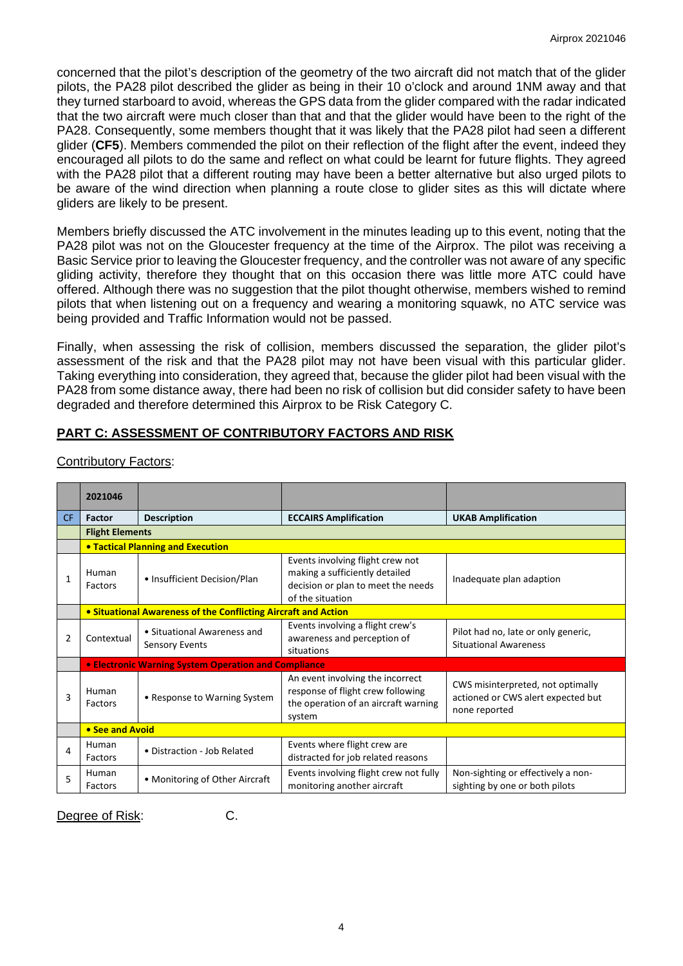concerned that the pilot's description of the geometry of the two aircraft did not match that of the glider pilots, the PA28 pilot described the glider as being in their 10 o'clock and around 1NM away and that they turned starboard to avoid, whereas the GPS data from the glider compared with the radar indicated that the two aircraft were much closer than that and that the glider would have been to the right of the PA28. Consequently, some members thought that it was likely that the PA28 pilot had seen a different glider (**CF5**). Members commended the pilot on their reflection of the flight after the event, indeed they encouraged all pilots to do the same and reflect on what could be learnt for future flights. They agreed with the PA28 pilot that a different routing may have been a better alternative but also urged pilots to be aware of the wind direction when planning a route close to glider sites as this will dictate where gliders are likely to be present.

Members briefly discussed the ATC involvement in the minutes leading up to this event, noting that the PA28 pilot was not on the Gloucester frequency at the time of the Airprox. The pilot was receiving a Basic Service prior to leaving the Gloucester frequency, and the controller was not aware of any specific gliding activity, therefore they thought that on this occasion there was little more ATC could have offered. Although there was no suggestion that the pilot thought otherwise, members wished to remind pilots that when listening out on a frequency and wearing a monitoring squawk, no ATC service was being provided and Traffic Information would not be passed.

Finally, when assessing the risk of collision, members discussed the separation, the glider pilot's assessment of the risk and that the PA28 pilot may not have been visual with this particular glider. Taking everything into consideration, they agreed that, because the glider pilot had been visual with the PA28 from some distance away, there had been no risk of collision but did consider safety to have been degraded and therefore determined this Airprox to be Risk Category C.

# **PART C: ASSESSMENT OF CONTRIBUTORY FACTORS AND RISK**

|              | 2021046          |                                                                |                                                                                                                              |                                                                                          |  |  |  |  |  |  |  |
|--------------|------------------|----------------------------------------------------------------|------------------------------------------------------------------------------------------------------------------------------|------------------------------------------------------------------------------------------|--|--|--|--|--|--|--|
| CF.          | Factor           | <b>Description</b>                                             | <b>ECCAIRS Amplification</b>                                                                                                 | <b>UKAB Amplification</b>                                                                |  |  |  |  |  |  |  |
|              |                  | <b>Flight Elements</b>                                         |                                                                                                                              |                                                                                          |  |  |  |  |  |  |  |
|              |                  | <b>• Tactical Planning and Execution</b>                       |                                                                                                                              |                                                                                          |  |  |  |  |  |  |  |
| $\mathbf{1}$ | Human<br>Factors | • Insufficient Decision/Plan                                   | Events involving flight crew not<br>making a sufficiently detailed<br>decision or plan to meet the needs<br>of the situation | Inadequate plan adaption                                                                 |  |  |  |  |  |  |  |
|              |                  | • Situational Awareness of the Conflicting Aircraft and Action |                                                                                                                              |                                                                                          |  |  |  |  |  |  |  |
| 2            | Contextual       | • Situational Awareness and<br><b>Sensory Events</b>           | Events involving a flight crew's<br>awareness and perception of<br>situations                                                | Pilot had no, late or only generic,<br><b>Situational Awareness</b>                      |  |  |  |  |  |  |  |
|              |                  | <b>• Electronic Warning System Operation and Compliance</b>    |                                                                                                                              |                                                                                          |  |  |  |  |  |  |  |
| 3            | Human<br>Factors | • Response to Warning System                                   | An event involving the incorrect<br>response of flight crew following<br>the operation of an aircraft warning<br>system      | CWS misinterpreted, not optimally<br>actioned or CWS alert expected but<br>none reported |  |  |  |  |  |  |  |
|              | • See and Avoid  |                                                                |                                                                                                                              |                                                                                          |  |  |  |  |  |  |  |
| 4            | Human<br>Factors | • Distraction - Job Related                                    | Events where flight crew are<br>distracted for job related reasons                                                           |                                                                                          |  |  |  |  |  |  |  |
| 5            | Human<br>Factors | • Monitoring of Other Aircraft                                 | Events involving flight crew not fully<br>monitoring another aircraft                                                        | Non-sighting or effectively a non-<br>sighting by one or both pilots                     |  |  |  |  |  |  |  |

Contributory Factors:

Degree of Risk: C.